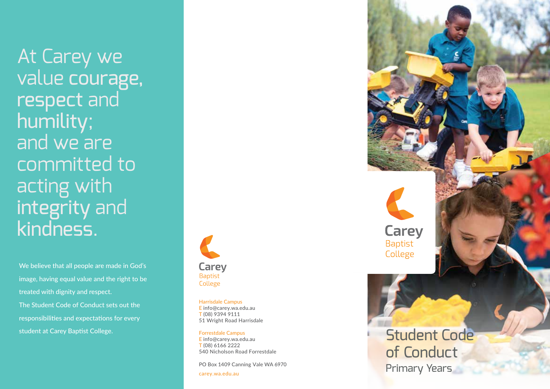At Carey we value courage, respect and humility; and we are committed to acting with integrity and kindness .

We believe that all people are made in God's image, having equal value and the right to be treated with dignity and respect. The Student Code of Conduct sets out the responsibilities and expectations for every student at Carey Baptist College.



Harrisdale Campus E info@carey.wa.edu.au T (08) 9394 9111 51 Wright Road Harrisdale

#### Forrestdale Campus E info@carey.wa.edu.au T (08) 6166 2222

540 Nicholson Road Forrestdale<br>PO Box 1409 Canning Vale WA 6970

carey.wa.edu.au

**Carey Baptist** College Student Code of Conduct Primary Years